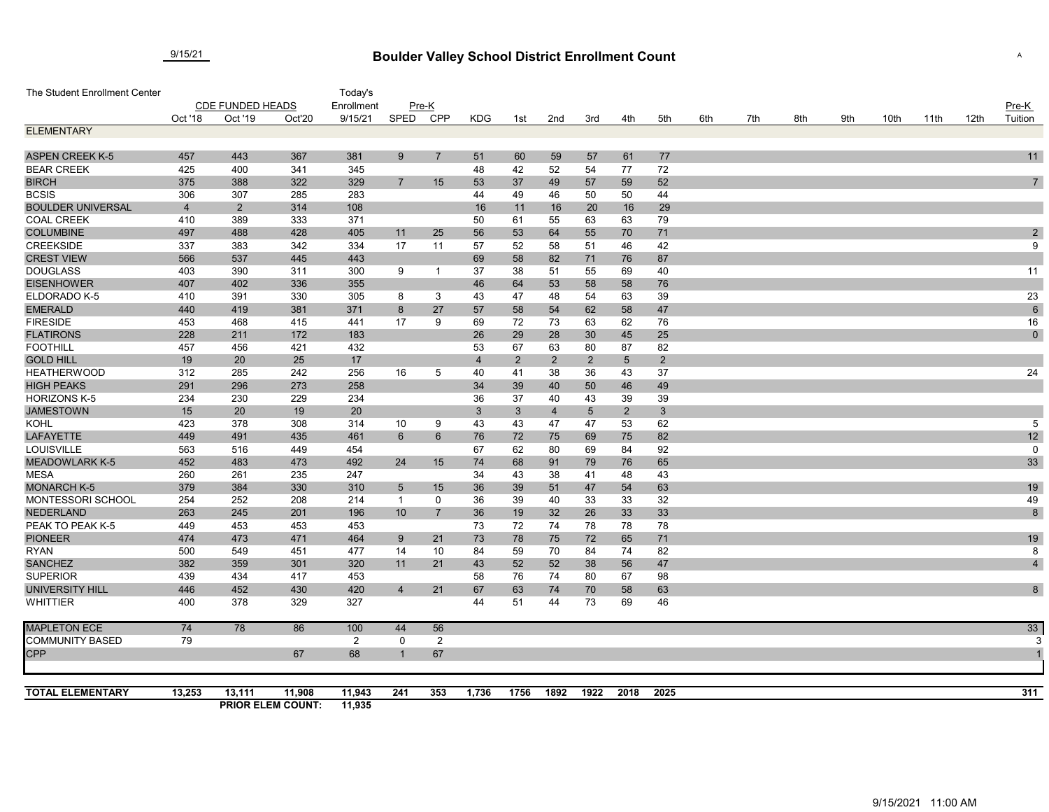## **Boulder Valley School District Enrollment Count** 9/15/21 <sup>A</sup>

| The Student Enrollment Center           |                         |                |                          | Today's    |                                |                |          |                |                |                |                |                |     |     |     |     |      |      |      |                 |
|-----------------------------------------|-------------------------|----------------|--------------------------|------------|--------------------------------|----------------|----------|----------------|----------------|----------------|----------------|----------------|-----|-----|-----|-----|------|------|------|-----------------|
|                                         | <b>CDE FUNDED HEADS</b> |                |                          | Enrollment | Pre-K                          |                |          |                |                |                |                |                |     |     |     |     |      |      |      | $Pre-K$         |
|                                         | Oct '18                 | Oct '19        | Oct'20                   | 9/15/21    | SPED                           | CPP            | KDG      | 1st            | 2nd            | 3rd            | 4th            | 5th            | 6th | 7th | 8th | 9th | 10th | 11th | 12th | Tuition         |
| <b>ELEMENTARY</b>                       |                         |                |                          |            |                                |                |          |                |                |                |                |                |     |     |     |     |      |      |      |                 |
|                                         |                         |                |                          |            |                                |                |          |                |                |                |                |                |     |     |     |     |      |      |      |                 |
| <b>ASPEN CREEK K-5</b>                  | 457                     | 443            | 367                      | 381        | 9                              | $\overline{7}$ | 51       | 60             | 59             | 57             | 61             | 77             |     |     |     |     |      |      |      | 11              |
| <b>BEAR CREEK</b>                       | 425                     | 400            | 341                      | 345        |                                |                | 48       | 42             | 52             | 54             | 77             | 72             |     |     |     |     |      |      |      |                 |
| <b>BIRCH</b>                            | 375                     | 388            | 322                      | 329        | $\overline{7}$                 | 15             | 53       | 37             | 49             | 57             | 59             | 52             |     |     |     |     |      |      |      | $\overline{7}$  |
| <b>BCSIS</b>                            | 306                     | 307            | 285                      | 283        |                                |                | 44       | 49             | 46             | 50             | 50             | 44             |     |     |     |     |      |      |      |                 |
| <b>BOULDER UNIVERSAL</b>                | $\overline{4}$          | $\overline{2}$ | 314                      | 108        |                                |                | 16       | 11             | 16             | 20             | 16             | 29             |     |     |     |     |      |      |      |                 |
| <b>COAL CREEK</b>                       | 410                     | 389            | 333                      | 371        |                                |                | 50       | 61             | 55             | 63             | 63             | 79             |     |     |     |     |      |      |      |                 |
| <b>COLUMBINE</b>                        | 497                     | 488            | 428                      | 405        | 11                             | 25             | 56       | 53             | 64             | 55             | 70             | 71             |     |     |     |     |      |      |      | $\sqrt{2}$      |
| <b>CREEKSIDE</b>                        | 337                     | 383            | 342                      | 334        | 17                             | 11             | 57       | 52             | 58             | 51             | 46             | 42             |     |     |     |     |      |      |      | 9               |
| <b>CREST VIEW</b>                       | 566                     | 537            | 445                      | 443        |                                |                | 69       | 58             | 82             | 71             | 76             | 87             |     |     |     |     |      |      |      |                 |
| <b>DOUGLASS</b>                         | 403                     | 390            | 311                      | 300        | 9                              | -1             | 37       | 38             | 51             | 55             | 69             | 40             |     |     |     |     |      |      |      | 11              |
| <b>EISENHOWER</b>                       | 407                     | 402            | 336                      | 355        |                                |                | 46       | 64             | 53             | 58             | 58             | 76             |     |     |     |     |      |      |      |                 |
| ELDORADO K-5                            | 410                     | 391            | 330                      | 305        | 8                              | 3              | 43       | 47             | 48             | 54             | 63             | 39             |     |     |     |     |      |      |      | 23              |
| <b>EMERALD</b>                          | 440                     | 419            | 381                      | 371        | 8                              | 27             | 57       | 58             | 54             | 62             | 58             | 47             |     |     |     |     |      |      |      | $6\phantom{1}6$ |
| <b>FIRESIDE</b>                         | 453                     | 468            | 415                      | 441        | 17                             | 9              | 69       | 72             | 73             | 63             | 62             | 76             |     |     |     |     |      |      |      | 16              |
| <b>FLATIRONS</b>                        | 228                     | 211            | 172                      | 183        |                                |                | 26       | 29             | 28             | 30             | 45             | 25             |     |     |     |     |      |      |      | $\pmb{0}$       |
| <b>FOOTHILL</b>                         | 457                     | 456            | 421                      | 432        |                                |                | 53       | 67             | 63             | 80             | 87             | 82             |     |     |     |     |      |      |      |                 |
| <b>GOLD HILL</b>                        | 19                      | 20             | 25                       | 17         |                                |                | 4        | $\overline{2}$ | $\overline{2}$ | $\overline{2}$ | $\sqrt{5}$     | $2^{\circ}$    |     |     |     |     |      |      |      |                 |
| <b>HEATHERWOOD</b>                      | 312                     | 285            | 242                      | 256        | 16                             | 5              | 40       | 41             | 38             | 36             | 43             | 37             |     |     |     |     |      |      |      | 24              |
| <b>HIGH PEAKS</b>                       | 291                     | 296            | 273                      | 258        |                                |                | 34       | 39             | 40             | 50             | 46             | 49             |     |     |     |     |      |      |      |                 |
| <b>HORIZONS K-5</b>                     | 234                     | 230            | 229                      | 234        |                                |                | 36       | 37             | 40             | 43             | 39             | 39             |     |     |     |     |      |      |      |                 |
| <b>JAMESTOWN</b>                        | 15                      | 20             | 19                       | 20         |                                |                | 3        | $\mathbf{3}$   | $\overline{4}$ | 5              | $\overline{2}$ | $3\phantom{a}$ |     |     |     |     |      |      |      |                 |
| KOHL                                    | 423                     | 378            | 308                      | 314        | 10                             | 9              | 43       | 43             | 47             | 47             | 53             | 62             |     |     |     |     |      |      |      | 5               |
| <b>LAFAYETTE</b>                        | 449                     | 491            | 435                      | 461        | 6                              | 6              | 76       | 72             | 75             | 69             | 75             | 82             |     |     |     |     |      |      |      | 12              |
| LOUISVILLE                              | 563                     | 516            | 449                      | 454        |                                |                | 67       | 62             | 80             | 69             | 84             | 92             |     |     |     |     |      |      |      | $\mathbf 0$     |
| <b>MEADOWLARK K-5</b>                   | 452                     | 483            | 473                      | 492        | 24                             | 15             | 74       | 68             | 91             | 79             | 76             | 65             |     |     |     |     |      |      |      | 33              |
| <b>MESA</b>                             | 260<br>379              | 261            | 235                      | 247        |                                |                | 34       | 43             | 38             | 41             | 48             | 43             |     |     |     |     |      |      |      |                 |
| <b>MONARCH K-5</b><br>MONTESSORI SCHOOL | 254                     | 384<br>252     | 330<br>208               | 310<br>214 | $\overline{5}$<br>$\mathbf{1}$ | 15<br>0        | 36<br>36 | 39<br>39       | 51<br>40       | 47<br>33       | 54<br>33       | 63             |     |     |     |     |      |      |      | 19<br>49        |
| <b>NEDERLAND</b>                        | 263                     | 245            | 201                      | 196        | 10                             | $\overline{7}$ | 36       | 19             | 32             | 26             | 33             | 32<br>33       |     |     |     |     |      |      |      | 8               |
| PEAK TO PEAK K-5                        | 449                     | 453            | 453                      | 453        |                                |                | 73       | 72             | 74             | 78             | 78             | 78             |     |     |     |     |      |      |      |                 |
| <b>PIONEER</b>                          | 474                     | 473            | 471                      | 464        | 9                              | 21             | 73       | 78             | 75             | 72             | 65             | 71             |     |     |     |     |      |      |      | 19              |
| <b>RYAN</b>                             | 500                     | 549            | 451                      | 477        | 14                             | 10             | 84       | 59             | 70             | 84             | 74             | 82             |     |     |     |     |      |      |      | 8               |
| <b>SANCHEZ</b>                          | 382                     | 359            | 301                      | 320        | 11                             | 21             | 43       | 52             | 52             | 38             | 56             | 47             |     |     |     |     |      |      |      | $\overline{4}$  |
| <b>SUPERIOR</b>                         | 439                     | 434            | 417                      | 453        |                                |                | 58       | 76             | 74             | 80             | 67             | 98             |     |     |     |     |      |      |      |                 |
| <b>UNIVERSITY HILL</b>                  | 446                     | 452            | 430                      | 420        | $\overline{4}$                 | 21             | 67       | 63             | 74             | 70             | 58             | 63             |     |     |     |     |      |      |      | 8               |
| <b>WHITTIER</b>                         | 400                     | 378            | 329                      | 327        |                                |                | 44       | 51             | 44             | 73             | 69             | 46             |     |     |     |     |      |      |      |                 |
| <b>MAPLETON ECE</b>                     | 74                      | 78             | 86                       | 100        | 44                             | 56             |          |                |                |                |                |                |     |     |     |     |      |      |      | 33              |
| <b>COMMUNITY BASED</b>                  | 79                      |                |                          | 2          | $\mathbf 0$                    | 2              |          |                |                |                |                |                |     |     |     |     |      |      |      |                 |
| <b>CPP</b>                              |                         |                | 67                       | 68         | -1                             | 67             |          |                |                |                |                |                |     |     |     |     |      |      |      |                 |
| <b>TOTAL ELEMENTARY</b>                 | 13,253                  | 13,111         | 11,908                   | 11,943     | 241                            | 353            | 1,736    | 1756           | 1892           | 1922           | 2018           | 2025           |     |     |     |     |      |      |      | 311             |
|                                         |                         |                | <b>PRIOR ELEM COUNT:</b> | 11,935     |                                |                |          |                |                |                |                |                |     |     |     |     |      |      |      |                 |